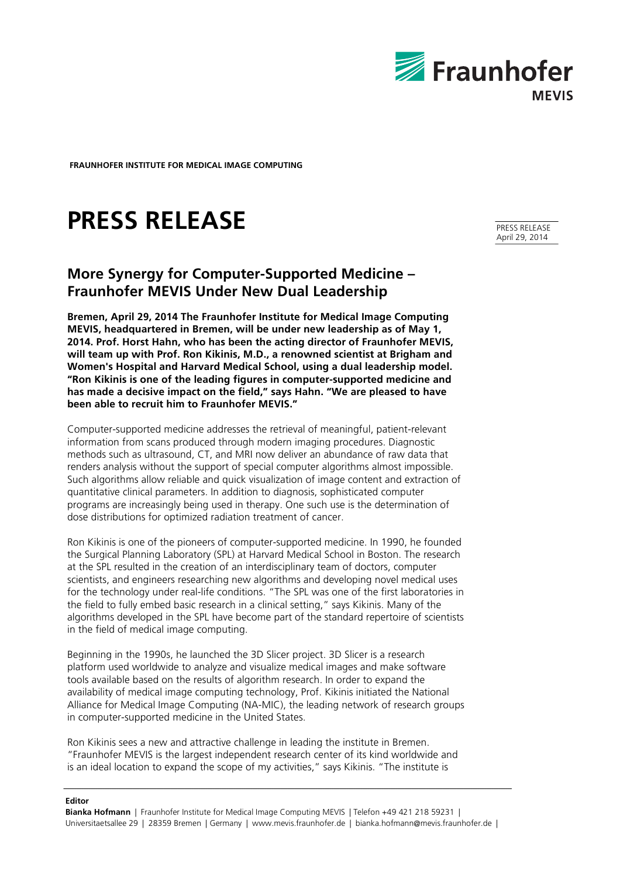

**FRAUNHOFER INSTITUTE FOR MEDICAL IMAGE COMPUTING** 

# **PRESS RELEASE**

# **More Synergy for Computer-Supported Medicine – Fraunhofer MEVIS Under New Dual Leadership**

**Bremen, April 29, 2014 The Fraunhofer Institute for Medical Image Computing MEVIS, headquartered in Bremen, will be under new leadership as of May 1, 2014. Prof. Horst Hahn, who has been the acting director of Fraunhofer MEVIS, will team up with Prof. Ron Kikinis, M.D., a renowned scientist at Brigham and Women's Hospital and Harvard Medical School, using a dual leadership model. "Ron Kikinis is one of the leading figures in computer-supported medicine and has made a decisive impact on the field," says Hahn. "We are pleased to have been able to recruit him to Fraunhofer MEVIS."**

Computer-supported medicine addresses the retrieval of meaningful, patient-relevant information from scans produced through modern imaging procedures. Diagnostic methods such as ultrasound, CT, and MRI now deliver an abundance of raw data that renders analysis without the support of special computer algorithms almost impossible. Such algorithms allow reliable and quick visualization of image content and extraction of quantitative clinical parameters. In addition to diagnosis, sophisticated computer programs are increasingly being used in therapy. One such use is the determination of dose distributions for optimized radiation treatment of cancer.

Ron Kikinis is one of the pioneers of computer-supported medicine. In 1990, he founded the Surgical Planning Laboratory (SPL) at Harvard Medical School in Boston. The research at the SPL resulted in the creation of an interdisciplinary team of doctors, computer scientists, and engineers researching new algorithms and developing novel medical uses for the technology under real-life conditions. "The SPL was one of the first laboratories in the field to fully embed basic research in a clinical setting," says Kikinis. Many of the algorithms developed in the SPL have become part of the standard repertoire of scientists in the field of medical image computing.

Beginning in the 1990s, he launched the 3D Slicer project. 3D Slicer is a research platform used worldwide to analyze and visualize medical images and make software tools available based on the results of algorithm research. In order to expand the availability of medical image computing technology, Prof. Kikinis initiated the National Alliance for Medical Image Computing (NA-MIC), the leading network of research groups in computer-supported medicine in the United States.

Ron Kikinis sees a new and attractive challenge in leading the institute in Bremen. "Fraunhofer MEVIS is the largest independent research center of its kind worldwide and is an ideal location to expand the scope of my activities," says Kikinis. "The institute is

#### **Editor**

**Bianka Hofmann** | Fraunhofer Institute for Medical Image Computing MEVIS | Telefon +49 421 218 59231 | Universitaetsallee 29 | 28359 Bremen | Germany | www.mevis.fraunhofer.de | bianka.hofmann@mevis.fraunhofer.de |

PRESS RELEASE April 29, 2014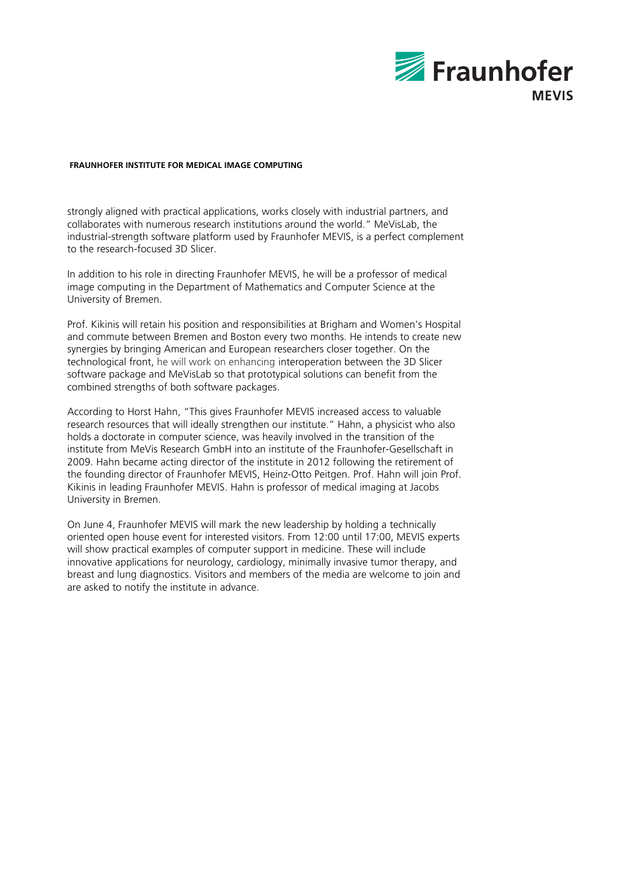

## **FRAUNHOFER INSTITUTE FOR MEDICAL IMAGE COMPUTING**

strongly aligned with practical applications, works closely with industrial partners, and collaborates with numerous research institutions around the world." MeVisLab, the industrial-strength software platform used by Fraunhofer MEVIS, is a perfect complement to the research-focused 3D Slicer.

In addition to his role in directing Fraunhofer MEVIS, he will be a professor of medical image computing in the Department of Mathematics and Computer Science at the University of Bremen.

Prof. Kikinis will retain his position and responsibilities at Brigham and Women's Hospital and commute between Bremen and Boston every two months. He intends to create new synergies by bringing American and European researchers closer together. On the technological front, he will work on enhancing interoperation between the 3D Slicer software package and MeVisLab so that prototypical solutions can benefit from the combined strengths of both software packages.

According to Horst Hahn, "This gives Fraunhofer MEVIS increased access to valuable research resources that will ideally strengthen our institute." Hahn, a physicist who also holds a doctorate in computer science, was heavily involved in the transition of the institute from MeVis Research GmbH into an institute of the Fraunhofer-Gesellschaft in 2009. Hahn became acting director of the institute in 2012 following the retirement of the founding director of Fraunhofer MEVIS, Heinz-Otto Peitgen. Prof. Hahn will join Prof. Kikinis in leading Fraunhofer MEVIS. Hahn is professor of medical imaging at Jacobs University in Bremen.

On June 4, Fraunhofer MEVIS will mark the new leadership by holding a technically oriented open house event for interested visitors. From 12:00 until 17:00, MEVIS experts will show practical examples of computer support in medicine. These will include innovative applications for neurology, cardiology, minimally invasive tumor therapy, and breast and lung diagnostics. Visitors and members of the media are welcome to join and are asked to notify the institute in advance.